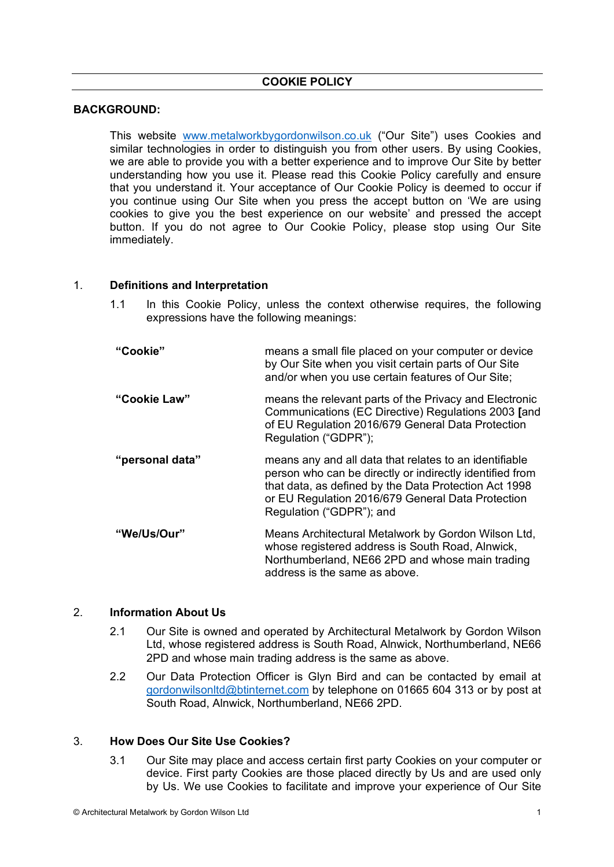## **COOKIE POLICY**

## **BACKGROUND:**

This website www.metalworkbygordonwilson.co.uk ("Our Site") uses Cookies and similar technologies in order to distinguish you from other users. By using Cookies, we are able to provide you with a better experience and to improve Our Site by better understanding how you use it. Please read this Cookie Policy carefully and ensure that you understand it. Your acceptance of Our Cookie Policy is deemed to occur if you continue using Our Site when you press the accept button on 'We are using cookies to give you the best experience on our website' and pressed the accept button. If you do not agree to Our Cookie Policy, please stop using Our Site immediately.

### 1. **Definitions and Interpretation**

- 1.1 In this Cookie Policy, unless the context otherwise requires, the following expressions have the following meanings:
- **"Cookie"** means a small file placed on your computer or device by Our Site when you visit certain parts of Our Site and/or when you use certain features of Our Site; **"Cookie Law"** means the relevant parts of the Privacy and Electronic Communications (EC Directive) Regulations 2003 **[**and of EU Regulation 2016/679 General Data Protection Regulation ("GDPR"); **"personal data"** means any and all data that relates to an identifiable person who can be directly or indirectly identified from that data, as defined by the Data Protection Act 1998 or EU Regulation 2016/679 General Data Protection Regulation ("GDPR"); and **"We/Us/Our"** Means Architectural Metalwork by Gordon Wilson Ltd, whose registered address is South Road, Alnwick, Northumberland, NE66 2PD and whose main trading address is the same as above.

## 2. **Information About Us**

- 2.1 Our Site is owned and operated by Architectural Metalwork by Gordon Wilson Ltd, whose registered address is South Road, Alnwick, Northumberland, NE66 2PD and whose main trading address is the same as above.
- 2.2 Our Data Protection Officer is Glyn Bird and can be contacted by email at gordonwilsonltd@btinternet.com by telephone on 01665 604 313 or by post at South Road, Alnwick, Northumberland, NE66 2PD.

## 3. **How Does Our Site Use Cookies?**

3.1 Our Site may place and access certain first party Cookies on your computer or device. First party Cookies are those placed directly by Us and are used only by Us. We use Cookies to facilitate and improve your experience of Our Site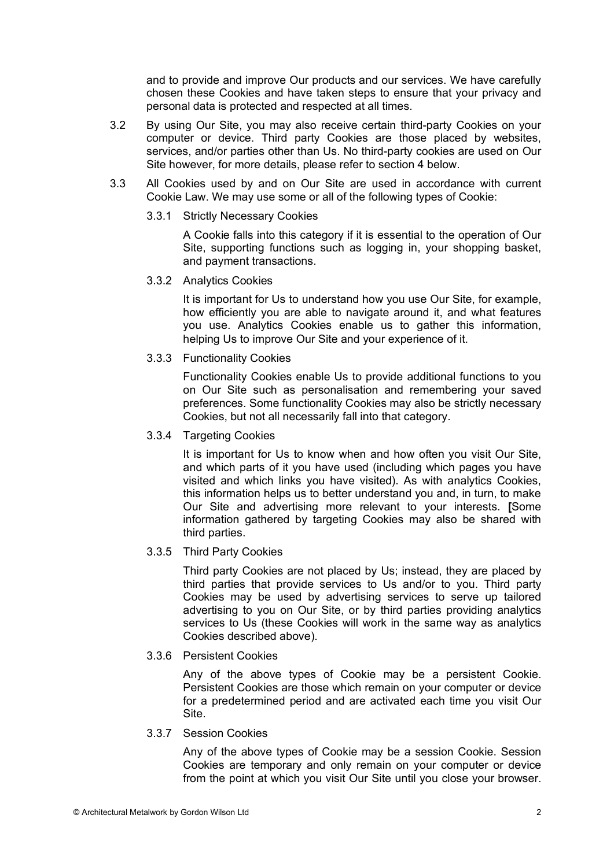and to provide and improve Our products and our services. We have carefully chosen these Cookies and have taken steps to ensure that your privacy and personal data is protected and respected at all times.

- 3.2 By using Our Site, you may also receive certain third-party Cookies on your computer or device. Third party Cookies are those placed by websites, services, and/or parties other than Us. No third-party cookies are used on Our Site however, for more details, please refer to section 4 below.
- 3.3 All Cookies used by and on Our Site are used in accordance with current Cookie Law. We may use some or all of the following types of Cookie:
	- 3.3.1 Strictly Necessary Cookies

A Cookie falls into this category if it is essential to the operation of Our Site, supporting functions such as logging in, your shopping basket, and payment transactions.

3.3.2 Analytics Cookies

It is important for Us to understand how you use Our Site, for example, how efficiently you are able to navigate around it, and what features you use. Analytics Cookies enable us to gather this information, helping Us to improve Our Site and your experience of it.

3.3.3 Functionality Cookies

Functionality Cookies enable Us to provide additional functions to you on Our Site such as personalisation and remembering your saved preferences. Some functionality Cookies may also be strictly necessary Cookies, but not all necessarily fall into that category.

3.3.4 Targeting Cookies

It is important for Us to know when and how often you visit Our Site, and which parts of it you have used (including which pages you have visited and which links you have visited). As with analytics Cookies, this information helps us to better understand you and, in turn, to make Our Site and advertising more relevant to your interests. **[**Some information gathered by targeting Cookies may also be shared with third parties.

3.3.5 Third Party Cookies

Third party Cookies are not placed by Us; instead, they are placed by third parties that provide services to Us and/or to you. Third party Cookies may be used by advertising services to serve up tailored advertising to you on Our Site, or by third parties providing analytics services to Us (these Cookies will work in the same way as analytics Cookies described above).

3.3.6 Persistent Cookies

Any of the above types of Cookie may be a persistent Cookie. Persistent Cookies are those which remain on your computer or device for a predetermined period and are activated each time you visit Our Site.

3.3.7 Session Cookies

Any of the above types of Cookie may be a session Cookie. Session Cookies are temporary and only remain on your computer or device from the point at which you visit Our Site until you close your browser.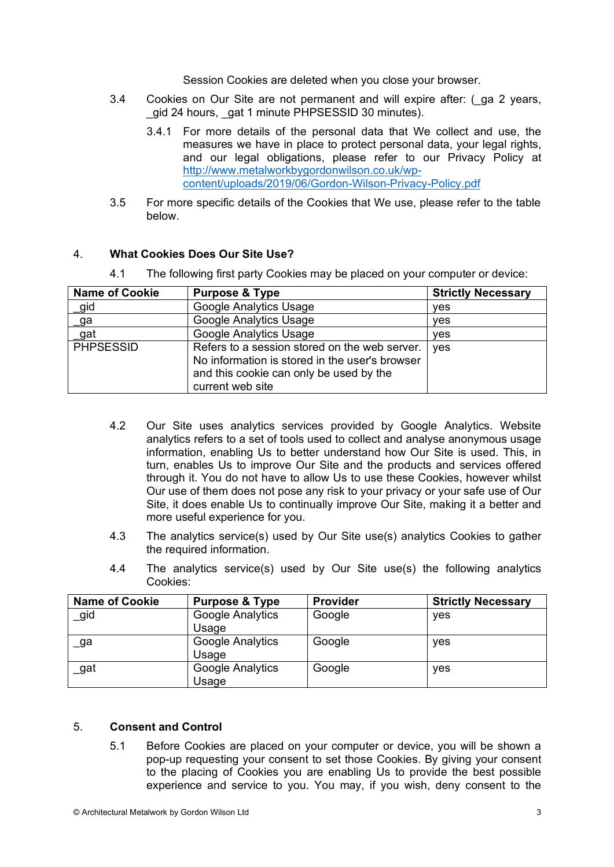Session Cookies are deleted when you close your browser.

- 3.4 Cookies on Our Site are not permanent and will expire after: (ga 2 years, \_gid 24 hours, \_gat 1 minute PHPSESSID 30 minutes).
	- 3.4.1 For more details of the personal data that We collect and use, the measures we have in place to protect personal data, your legal rights, and our legal obligations, please refer to our Privacy Policy at http://www.metalworkbygordonwilson.co.uk/wpcontent/uploads/2019/06/Gordon-Wilson-Privacy-Policy.pdf
- 3.5 For more specific details of the Cookies that We use, please refer to the table below.

### 4. **What Cookies Does Our Site Use?**

4.1 The following first party Cookies may be placed on your computer or device:

| <b>Name of Cookie</b> | <b>Purpose &amp; Type</b>                                                                                                                                      | <b>Strictly Necessary</b> |
|-----------------------|----------------------------------------------------------------------------------------------------------------------------------------------------------------|---------------------------|
| _gid                  | Google Analytics Usage                                                                                                                                         | ves                       |
| _ga                   | <b>Google Analytics Usage</b>                                                                                                                                  | <b>ves</b>                |
| _gat                  | Google Analytics Usage                                                                                                                                         | <b>ves</b>                |
| <b>PHPSESSID</b>      | Refers to a session stored on the web server.<br>No information is stored in the user's browser<br>and this cookie can only be used by the<br>current web site | ves                       |

- 4.2 Our Site uses analytics services provided by Google Analytics. Website analytics refers to a set of tools used to collect and analyse anonymous usage information, enabling Us to better understand how Our Site is used. This, in turn, enables Us to improve Our Site and the products and services offered through it. You do not have to allow Us to use these Cookies, however whilst Our use of them does not pose any risk to your privacy or your safe use of Our Site, it does enable Us to continually improve Our Site, making it a better and more useful experience for you.
- 4.3 The analytics service(s) used by Our Site use(s) analytics Cookies to gather the required information.
- 4.4 The analytics service(s) used by Our Site use(s) the following analytics Cookies:

| <b>Name of Cookie</b> | <b>Purpose &amp; Type</b> | <b>Provider</b> | <b>Strictly Necessary</b> |
|-----------------------|---------------------------|-----------------|---------------------------|
| _gid                  | Google Analytics<br>Usage | Google          | yes                       |
| _ga                   | Google Analytics<br>Usage | Google          | yes                       |
| gat                   | Google Analytics<br>Usage | Google          | yes                       |

## 5. **Consent and Control**

5.1 Before Cookies are placed on your computer or device, you will be shown a pop-up requesting your consent to set those Cookies. By giving your consent to the placing of Cookies you are enabling Us to provide the best possible experience and service to you. You may, if you wish, deny consent to the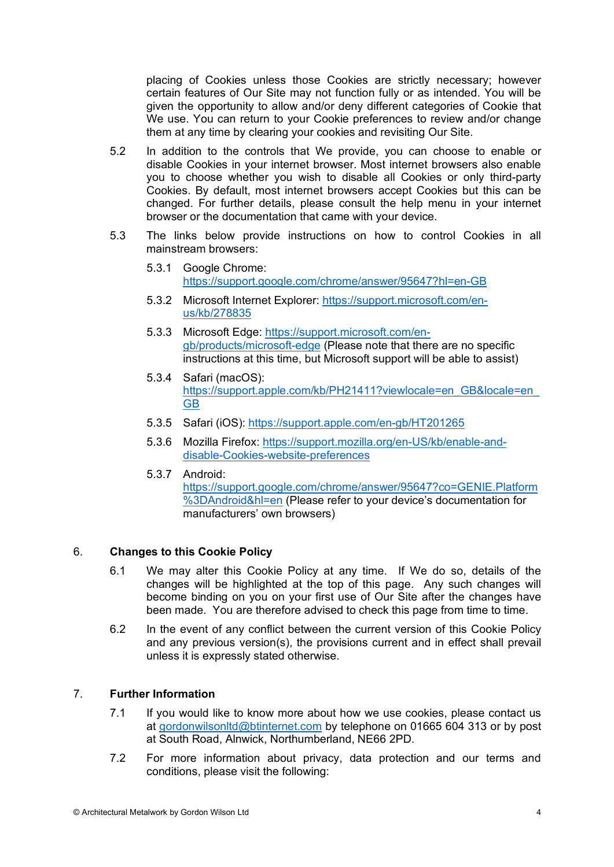placing of Cookies unless those Cookies are strictly necessary; however certain features of Our Site may not function fully or as intended. You will be given the opportunity to allow and/or deny different categories of Cookie that We use. You can return to your Cookie preferences to review and/or change them at any time by clearing your cookies and revisiting Our Site.

- 5.2 In addition to the controls that We provide, you can choose to enable or disable Cookies in your internet browser. Most internet browsers also enable you to choose whether you wish to disable all Cookies or only third-party Cookies. By default, most internet browsers accept Cookies but this can be changed. For further details, please consult the help menu in your internet browser or the documentation that came with your device.
- 5.3 The links below provide instructions on how to control Cookies in all mainstream browsers:
	- 5.3.1 Google Chrome: https://support.google.com/chrome/answer/95647?hl=en-GB
	- 5.3.2 Microsoft Internet Explorer: https://support.microsoft.com/enus/kb/278835
	- 5.3.3 Microsoft Edge: https://support.microsoft.com/engb/products/microsoft-edge (Please note that there are no specific instructions at this time, but Microsoft support will be able to assist)
	- 5.3.4 Safari (macOS): https://support.apple.com/kb/PH21411?viewlocale=en\_GB&locale=en GB
	- 5.3.5 Safari (iOS): https://support.apple.com/en-gb/HT201265
	- 5.3.6 Mozilla Firefox: https://support.mozilla.org/en-US/kb/enable-anddisable-Cookies-website-preferences
	- 5.3.7 Android:

https://support.google.com/chrome/answer/95647?co=GENIE.Platform %3DAndroid&hl=en (Please refer to your device's documentation for manufacturers' own browsers)

## 6. **Changes to this Cookie Policy**

- 6.1 We may alter this Cookie Policy at any time. If We do so, details of the changes will be highlighted at the top of this page. Any such changes will become binding on you on your first use of Our Site after the changes have been made. You are therefore advised to check this page from time to time.
- 6.2 In the event of any conflict between the current version of this Cookie Policy and any previous version(s), the provisions current and in effect shall prevail unless it is expressly stated otherwise.

# 7. **Further Information**

- 7.1 If you would like to know more about how we use cookies, please contact us at gordonwilsonltd@btinternet.com by telephone on 01665 604 313 or by post at South Road, Alnwick, Northumberland, NE66 2PD.
- 7.2 For more information about privacy, data protection and our terms and conditions, please visit the following: